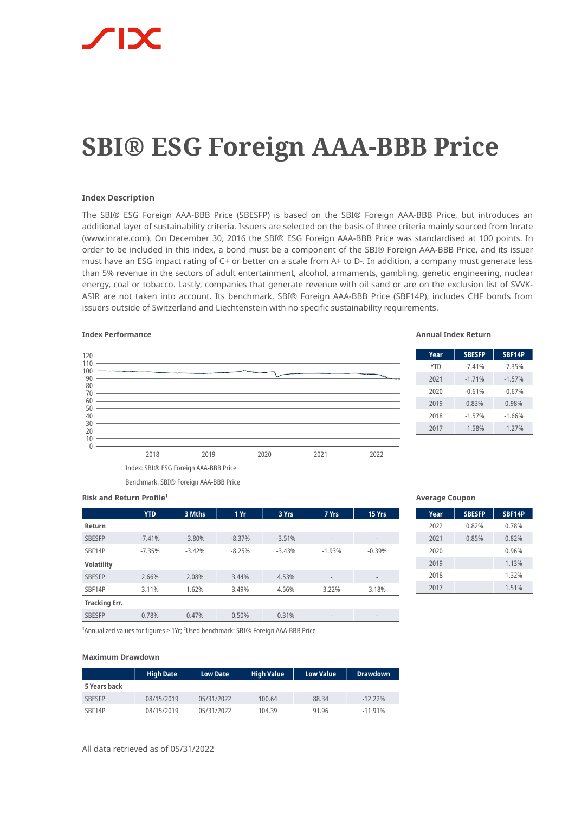# **SBI® ESG Foreign AAA-BBB Price**

# **Index Description**

The SBI® ESG Foreign AAA-BBB Price (SBESFP) is based on the SBI® Foreign AAA-BBB Price, but introduces an additional layer of sustainability criteria. Issuers are selected on the basis of three criteria mainly sourced from Inrate (www.inrate.com). On December 30, 2016 the SBI® ESG Foreign AAA-BBB Price was standardised at 100 points. In order to be included in this index, a bond must be a component of the SBI® Foreign AAA-BBB Price, and its issuer must have an ESG impact rating of C+ or better on a scale from A+ to D-. In addition, a company must generate less than 5% revenue in the sectors of adult entertainment, alcohol, armaments, gambling, genetic engineering, nuclear energy, coal or tobacco. Lastly, companies that generate revenue with oil sand or are on the exclusion list of SVVK-ASIR are not taken into account. Its benchmark, SBI® Foreign AAA-BBB Price (SBF14P), includes CHF bonds from issuers outside of Switzerland and Liechtenstein with no specific sustainability requirements.

# **Index Performance Annual Index Return**



| Year       | <b>SBESFP</b> | <b>SBF14P</b> |
|------------|---------------|---------------|
| <b>YTD</b> | $-7.41%$      | $-7.35%$      |
| 2021       | $-1.71%$      | $-1.57%$      |
| 2020       | $-0.61%$      | $-0.67%$      |
| 2019       | 0.83%         | 0.98%         |
| 2018       | $-1.57%$      | $-1.66%$      |
| 2017       | $-1.58%$      | $-1.27%$      |
|            |               |               |

**Risk and Return Profile<sup>1</sup>** 

|                      | <b>YTD</b> | 3 Mths   | 1Yr      | 3 Yrs    | 7 Yrs                    | 15 Yrs                   |
|----------------------|------------|----------|----------|----------|--------------------------|--------------------------|
| Return               |            |          |          |          |                          |                          |
| <b>SBESFP</b>        | $-7.41%$   | $-3.80%$ | $-8.37%$ | $-3.51%$ | $\overline{\phantom{m}}$ | $\qquad \qquad$          |
| SBF14P               | $-7.35%$   | $-3.42%$ | $-8.25%$ | $-3.43%$ | $-1.93%$                 | $-0.39%$                 |
| <b>Volatility</b>    |            |          |          |          |                          |                          |
| <b>SBESFP</b>        | 2.66%      | 2.08%    | 3.44%    | 4.53%    | $\overline{\phantom{m}}$ | $\overline{\phantom{a}}$ |
| SBF14P               | 3.11%      | 1.62%    | 3.49%    | 4.56%    | 3.22%                    | 3.18%                    |
| <b>Tracking Err.</b> |            |          |          |          |                          |                          |
| <b>SBESFP</b>        | 0.78%      | 0.47%    | 0.50%    | 0.31%    | $\qquad \qquad$          | $\qquad \qquad$          |

### **Average Coupon**

| Year | <b>SBESFP</b> | <b>SBF14P</b> |
|------|---------------|---------------|
| 2022 | 0.82%         | 0.78%         |
| 2021 | 0.85%         | 0.82%         |
| 2020 |               | 0.96%         |
| 2019 |               | 1.13%         |
| 2018 |               | 1.32%         |
| 2017 |               | 1.51%         |

<sup>1</sup>Annualized values for figures > 1Yr; <sup>2</sup>Used benchmark: SBI® Foreign AAA-BBB Price

### **Maximum Drawdown**

|               | <b>High Date</b> | <b>Low Date</b> | <b>High Value</b> | <b>Low Value</b> | <b>Drawdown</b> |
|---------------|------------------|-----------------|-------------------|------------------|-----------------|
| 5 Years back  |                  |                 |                   |                  |                 |
| <b>SBESFP</b> | 08/15/2019       | 05/31/2022      | 100.64            | 88.34            | $-12.22\%$      |
| SBF14P        | 08/15/2019       | 05/31/2022      | 104.39            | 91.96            | $-11.91%$       |

All data retrieved as of 05/31/2022